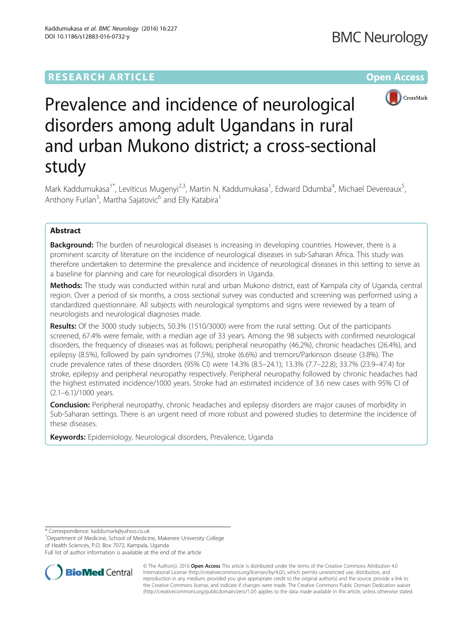## **RESEARCH ARTICLE Example 2018 12:00 THE Open Access**



# Prevalence and incidence of neurological disorders among adult Ugandans in rural and urban Mukono district; a cross-sectional study

Mark Kaddumukasa<sup>1\*</sup>, Leviticus Mugenyi<sup>2,3</sup>, Martin N. Kaddumukasa<sup>1</sup>, Edward Ddumba<sup>4</sup>, Michael Devereaux<sup>5</sup> , Anthony Furlan<sup>5</sup>, Martha Sajatovic<sup>6</sup> and Elly Katabira<sup>1</sup>

## Abstract

**Background:** The burden of neurological diseases is increasing in developing countries. However, there is a prominent scarcity of literature on the incidence of neurological diseases in sub-Saharan Africa. This study was therefore undertaken to determine the prevalence and incidence of neurological diseases in this setting to serve as a baseline for planning and care for neurological disorders in Uganda.

Methods: The study was conducted within rural and urban Mukono district, east of Kampala city of Uganda, central region. Over a period of six months, a cross sectional survey was conducted and screening was performed using a standardized questionnaire. All subjects with neurological symptoms and signs were reviewed by a team of neurologists and neurological diagnoses made.

Results: Of the 3000 study subjects, 50.3% (1510/3000) were from the rural setting. Out of the participants screened, 67.4% were female, with a median age of 33 years. Among the 98 subjects with confirmed neurological disorders, the frequency of diseases was as follows; peripheral neuropathy (46.2%), chronic headaches (26.4%), and epilepsy (8.5%), followed by pain syndromes (7.5%), stroke (6.6%) and tremors/Parkinson disease (3.8%). The crude prevalence rates of these disorders (95% CI) were 14.3% (8.5–24.1); 13.3% (7.7–22.8); 33.7% (23.9–47.4) for stroke, epilepsy and peripheral neuropathy respectively. Peripheral neuropathy followed by chronic headaches had the highest estimated incidence/1000 years. Stroke had an estimated incidence of 3.6 new cases with 95% CI of (2.1–6.1)/1000 years.

**Conclusion:** Peripheral neuropathy, chronic headaches and epilepsy disorders are major causes of morbidity in Sub-Saharan settings. There is an urgent need of more robust and powered studies to determine the incidence of these diseases.

Keywords: Epidemiology, Neurological disorders, Prevalence, Uganda

\* Correspondence: [kaddumark@yahoo.co.uk](mailto:kaddumark@yahoo.co.uk) <sup>1</sup>

<sup>1</sup>Department of Medicine, School of Medicine, Makerere University College of Health Sciences, P.O. Box 7072, Kampala, Uganda

Full list of author information is available at the end of the article



© The Author(s). 2016 Open Access This article is distributed under the terms of the Creative Commons Attribution 4.0 International License [\(http://creativecommons.org/licenses/by/4.0/](http://creativecommons.org/licenses/by/4.0/)), which permits unrestricted use, distribution, and reproduction in any medium, provided you give appropriate credit to the original author(s) and the source, provide a link to the Creative Commons license, and indicate if changes were made. The Creative Commons Public Domain Dedication waiver [\(http://creativecommons.org/publicdomain/zero/1.0/](http://creativecommons.org/publicdomain/zero/1.0/)) applies to the data made available in this article, unless otherwise stated.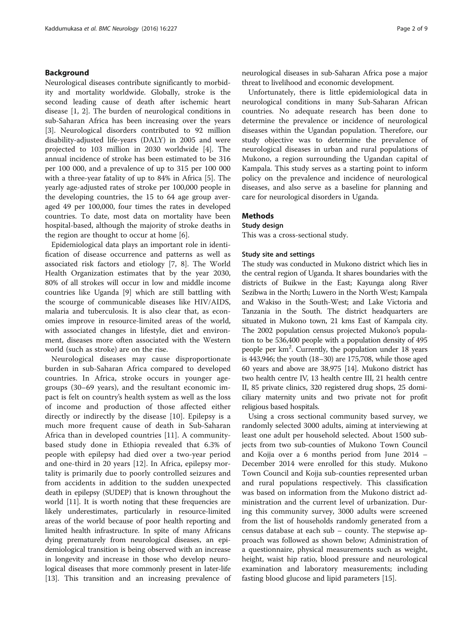## Background

Neurological diseases contribute significantly to morbidity and mortality worldwide. Globally, stroke is the second leading cause of death after ischemic heart disease [\[1](#page-8-0), [2](#page-8-0)]. The burden of neurological conditions in sub-Saharan Africa has been increasing over the years [[3\]](#page-8-0). Neurological disorders contributed to 92 million disability-adjusted life-years (DALY) in 2005 and were projected to 103 million in 2030 worldwide [[4\]](#page-8-0). The annual incidence of stroke has been estimated to be 316 per 100 000, and a prevalence of up to 315 per 100 000 with a three-year fatality of up to 84% in Africa [[5\]](#page-8-0). The yearly age-adjusted rates of stroke per 100,000 people in the developing countries, the 15 to 64 age group averaged 49 per 100,000, four times the rates in developed countries. To date, most data on mortality have been hospital-based, although the majority of stroke deaths in the region are thought to occur at home [\[6](#page-8-0)].

Epidemiological data plays an important role in identification of disease occurrence and patterns as well as associated risk factors and etiology [[7](#page-8-0), [8\]](#page-8-0). The World Health Organization estimates that by the year 2030, 80% of all strokes will occur in low and middle income countries like Uganda [[9\]](#page-8-0) which are still battling with the scourge of communicable diseases like HIV/AIDS, malaria and tuberculosis. It is also clear that, as economies improve in resource-limited areas of the world, with associated changes in lifestyle, diet and environment, diseases more often associated with the Western world (such as stroke) are on the rise.

Neurological diseases may cause disproportionate burden in sub-Saharan Africa compared to developed countries. In Africa, stroke occurs in younger agegroups (30–69 years), and the resultant economic impact is felt on country's health system as well as the loss of income and production of those affected either directly or indirectly by the disease [[10](#page-8-0)]. Epilepsy is a much more frequent cause of death in Sub-Saharan Africa than in developed countries [[11](#page-8-0)]. A communitybased study done in Ethiopia revealed that 6.3% of people with epilepsy had died over a two-year period and one-third in 20 years [[12\]](#page-8-0). In Africa, epilepsy mortality is primarily due to poorly controlled seizures and from accidents in addition to the sudden unexpected death in epilepsy (SUDEP) that is known throughout the world [[11](#page-8-0)]. It is worth noting that these frequencies are likely underestimates, particularly in resource-limited areas of the world because of poor health reporting and limited health infrastructure. In spite of many Africans dying prematurely from neurological diseases, an epidemiological transition is being observed with an increase in longevity and increase in those who develop neurological diseases that more commonly present in later-life [[13](#page-8-0)]. This transition and an increasing prevalence of neurological diseases in sub-Saharan Africa pose a major threat to livelihood and economic development.

Unfortunately, there is little epidemiological data in neurological conditions in many Sub-Saharan African countries. No adequate research has been done to determine the prevalence or incidence of neurological diseases within the Ugandan population. Therefore, our study objective was to determine the prevalence of neurological diseases in urban and rural populations of Mukono, a region surrounding the Ugandan capital of Kampala. This study serves as a starting point to inform policy on the prevalence and incidence of neurological diseases, and also serve as a baseline for planning and care for neurological disorders in Uganda.

## **Methods**

## Study design

This was a cross-sectional study.

## Study site and settings

The study was conducted in Mukono district which lies in the central region of Uganda. It shares boundaries with the districts of Buikwe in the East; Kayunga along River Sezibwa in the North; Luwero in the North West; Kampala and Wakiso in the South-West; and Lake Victoria and Tanzania in the South. The district headquarters are situated in Mukono town, 21 kms East of Kampala city. The 2002 population census projected Mukono's population to be 536,400 people with a population density of 495 people per km<sup>2</sup>. Currently, the population under 18 years is 443,946; the youth (18–30) are 175,708, while those aged 60 years and above are 38,975 [\[14\]](#page-8-0). Mukono district has two health centre IV, 13 health centre III, 21 health centre II, 85 private clinics, 320 registered drug shops, 25 domiciliary maternity units and two private not for profit religious based hospitals.

Using a cross sectional community based survey, we randomly selected 3000 adults, aiming at interviewing at least one adult per household selected. About 1500 subjects from two sub-counties of Mukono Town Council and Kojja over a 6 months period from June 2014 – December 2014 were enrolled for this study. Mukono Town Council and Kojja sub-counties represented urban and rural populations respectively. This classification was based on information from the Mukono district administration and the current level of urbanization. During this community survey, 3000 adults were screened from the list of households randomly generated from a census database at each sub – county. The stepwise approach was followed as shown below; Administration of a questionnaire, physical measurements such as weight, height, waist hip ratio, blood pressure and neurological examination and laboratory measurements; including fasting blood glucose and lipid parameters [\[15](#page-8-0)].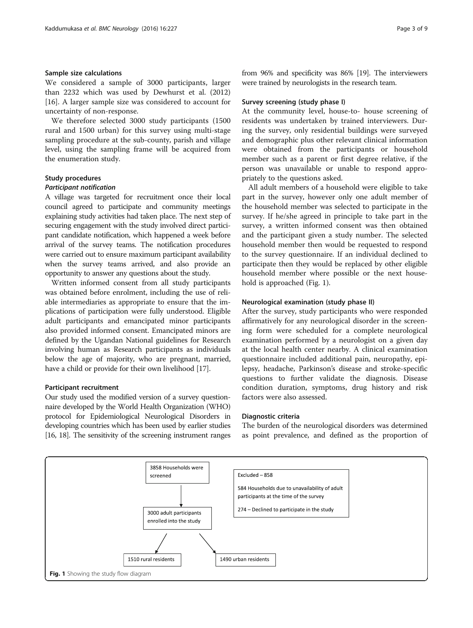## Sample size calculations

We considered a sample of 3000 participants, larger than 2232 which was used by Dewhurst et al. (2012) [[16\]](#page-8-0). A larger sample size was considered to account for uncertainty of non-response.

We therefore selected 3000 study participants (1500 rural and 1500 urban) for this survey using multi-stage sampling procedure at the sub-county, parish and village level, using the sampling frame will be acquired from the enumeration study.

## Study procedures

#### Participant notification

A village was targeted for recruitment once their local council agreed to participate and community meetings explaining study activities had taken place. The next step of securing engagement with the study involved direct participant candidate notification, which happened a week before arrival of the survey teams. The notification procedures were carried out to ensure maximum participant availability when the survey teams arrived, and also provide an opportunity to answer any questions about the study.

Written informed consent from all study participants was obtained before enrolment, including the use of reliable intermediaries as appropriate to ensure that the implications of participation were fully understood. Eligible adult participants and emancipated minor participants also provided informed consent. Emancipated minors are defined by the Ugandan National guidelines for Research involving human as Research participants as individuals below the age of majority, who are pregnant, married, have a child or provide for their own livelihood [\[17](#page-8-0)].

#### Participant recruitment

Our study used the modified version of a survey questionnaire developed by the World Health Organization (WHO) protocol for Epidemiological Neurological Disorders in developing countries which has been used by earlier studies [[16](#page-8-0), [18\]](#page-8-0). The sensitivity of the screening instrument ranges from 96% and specificity was 86% [\[19\]](#page-8-0). The interviewers were trained by neurologists in the research team.

#### Survey screening (study phase I)

At the community level, house-to- house screening of residents was undertaken by trained interviewers. During the survey, only residential buildings were surveyed and demographic plus other relevant clinical information were obtained from the participants or household member such as a parent or first degree relative, if the person was unavailable or unable to respond appropriately to the questions asked.

All adult members of a household were eligible to take part in the survey, however only one adult member of the household member was selected to participate in the survey. If he/she agreed in principle to take part in the survey, a written informed consent was then obtained and the participant given a study number. The selected household member then would be requested to respond to the survey questionnaire. If an individual declined to participate then they would be replaced by other eligible household member where possible or the next household is approached (Fig. 1).

## Neurological examination (study phase II)

After the survey, study participants who were responded affirmatively for any neurological disorder in the screening form were scheduled for a complete neurological examination performed by a neurologist on a given day at the local health center nearby. A clinical examination questionnaire included additional pain, neuropathy, epilepsy, headache, Parkinson's disease and stroke-specific questions to further validate the diagnosis. Disease condition duration, symptoms, drug history and risk factors were also assessed.

#### Diagnostic criteria

The burden of the neurological disorders was determined as point prevalence, and defined as the proportion of

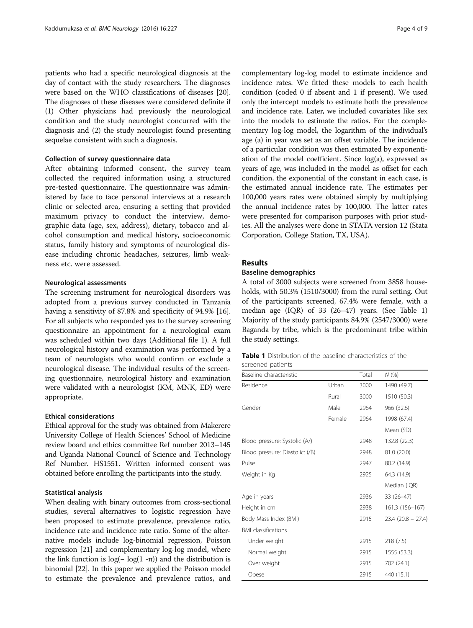patients who had a specific neurological diagnosis at the day of contact with the study researchers. The diagnoses were based on the WHO classifications of diseases [[20](#page-8-0)]. The diagnoses of these diseases were considered definite if (1) Other physicians had previously the neurological condition and the study neurologist concurred with the diagnosis and (2) the study neurologist found presenting sequelae consistent with such a diagnosis.

## Collection of survey questionnaire data

After obtaining informed consent, the survey team collected the required information using a structured pre-tested questionnaire. The questionnaire was administered by face to face personal interviews at a research clinic or selected area, ensuring a setting that provided maximum privacy to conduct the interview, demographic data (age, sex, address), dietary, tobacco and alcohol consumption and medical history, socioeconomic status, family history and symptoms of neurological disease including chronic headaches, seizures, limb weakness etc. were assessed.

#### Neurological assessments

The screening instrument for neurological disorders was adopted from a previous survey conducted in Tanzania having a sensitivity of 87.8% and specificity of 94.9% [[16](#page-8-0)]. For all subjects who responded yes to the survey screening questionnaire an appointment for a neurological exam was scheduled within two days (Additional file [1\)](#page-7-0). A full neurological history and examination was performed by a team of neurologists who would confirm or exclude a neurological disease. The individual results of the screening questionnaire, neurological history and examination were validated with a neurologist (KM, MNK, ED) were appropriate.

#### Ethical considerations

Ethical approval for the study was obtained from Makerere University College of Health Sciences' School of Medicine review board and ethics committee Ref number 2013–145 and Uganda National Council of Science and Technology Ref Number. HS1551. Written informed consent was obtained before enrolling the participants into the study.

## Statistical analysis

When dealing with binary outcomes from cross-sectional studies, several alternatives to logistic regression have been proposed to estimate prevalence, prevalence ratio, incidence rate and incidence rate ratio. Some of the alternative models include log-binomial regression, Poisson regression [\[21\]](#page-8-0) and complementary log-log model, where the link function is log(− log(1 -π)) and the distribution is binomial [[22\]](#page-8-0). In this paper we applied the Poisson model to estimate the prevalence and prevalence ratios, and

complementary log-log model to estimate incidence and incidence rates. We fitted these models to each health condition (coded 0 if absent and 1 if present). We used only the intercept models to estimate both the prevalence and incidence rate. Later, we included covariates like sex into the models to estimate the ratios. For the complementary log-log model, the logarithm of the individual's age (a) in year was set as an offset variable. The incidence of a particular condition was then estimated by exponentiation of the model coefficient. Since log(a), expressed as years of age, was included in the model as offset for each condition, the exponential of the constant in each case, is the estimated annual incidence rate. The estimates per 100,000 years rates were obtained simply by multiplying the annual incidence rates by 100,000. The latter rates were presented for comparison purposes with prior studies. All the analyses were done in STATA version 12 (Stata Corporation, College Station, TX, USA).

## Results

## Baseline demographics

A total of 3000 subjects were screened from 3858 households, with 50.3% (1510/3000) from the rural setting. Out of the participants screened, 67.4% were female, with a median age (IQR) of 33 (26–47) years. (See Table 1) Majority of the study participants 84.9% (2547/3000) were Baganda by tribe, which is the predominant tribe within the study settings.

## Table 1 Distribution of the baseline characteristics of the screened patients

| Baseline characteristic         |        | Total | N(%                 |
|---------------------------------|--------|-------|---------------------|
| Residence                       | Urban  | 3000  | 1490 (49.7)         |
|                                 | Rural  | 3000  | 1510 (50.3)         |
| Gender                          | Male   | 2964  | 966 (32.6)          |
|                                 | Female | 2964  | 1998 (67.4)         |
|                                 |        |       | Mean (SD)           |
| Blood pressure: Systolic (A/)   |        | 2948  | 132.8 (22.3)        |
| Blood pressure: Diastolic: (/B) |        | 2948  | 81.0 (20.0)         |
| Pulse                           |        | 2947  | 80.2 (14.9)         |
| Weight in Kg                    |        | 2925  | 64.3 (14.9)         |
|                                 |        |       | Median (IQR)        |
| Age in years                    |        | 2936  | 33 (26-47)          |
| Height in cm                    |        | 2938  | 161.3 (156-167)     |
| Body Mass Index (BMI)           |        | 2915  | $23.4(20.8 - 27.4)$ |
| <b>BMI</b> classifications      |        |       |                     |
| Under weight                    |        | 2915  | 218 (7.5)           |
| Normal weight                   |        | 2915  | 1555 (53.3)         |
| Over weight                     |        | 2915  | 702 (24.1)          |
| Obese                           |        | 2915  | 440 (15.1)          |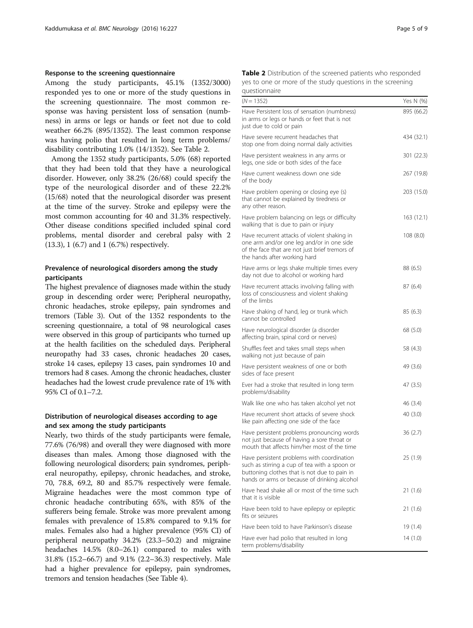## Response to the screening questionnaire

Among the study participants, 45.1% (1352/3000) responded yes to one or more of the study questions in the screening questionnaire. The most common response was having persistent loss of sensation (numbness) in arms or legs or hands or feet not due to cold weather 66.2% (895/1352). The least common response was having polio that resulted in long term problems/ disability contributing 1.0% (14/1352). See Table 2.

Among the 1352 study participants, 5.0% (68) reported that they had been told that they have a neurological disorder. However, only 38.2% (26/68) could specify the type of the neurological disorder and of these 22.2% (15/68) noted that the neurological disorder was present at the time of the survey. Stroke and epilepsy were the most common accounting for 40 and 31.3% respectively. Other disease conditions specified included spinal cord problems, mental disorder and cerebral palsy with 2 (13.3), 1 (6.7) and 1 (6.7%) respectively.

## Prevalence of neurological disorders among the study participants

The highest prevalence of diagnoses made within the study group in descending order were; Peripheral neuropathy, chronic headaches, stroke epilepsy, pain syndromes and tremors (Table [3\)](#page-5-0). Out of the 1352 respondents to the screening questionnaire, a total of 98 neurological cases were observed in this group of participants who turned up at the health facilities on the scheduled days. Peripheral neuropathy had 33 cases, chronic headaches 20 cases, stroke 14 cases, epilepsy 13 cases, pain syndromes 10 and tremors had 8 cases. Among the chronic headaches, cluster headaches had the lowest crude prevalence rate of 1% with 95% CI of 0.1–7.2.

## Distribution of neurological diseases according to age and sex among the study participants

Nearly, two thirds of the study participants were female, 77.6% (76/98) and overall they were diagnosed with more diseases than males. Among those diagnosed with the following neurological disorders; pain syndromes, peripheral neuropathy, epilepsy, chronic headaches, and stroke, 70, 78.8, 69.2, 80 and 85.7% respectively were female. Migraine headaches were the most common type of chronic headache contributing 65%, with 85% of the sufferers being female. Stroke was more prevalent among females with prevalence of 15.8% compared to 9.1% for males. Females also had a higher prevalence (95% CI) of peripheral neuropathy 34.2% (23.3–50.2) and migraine headaches 14.5% (8.0–26.1) compared to males with 31.8% (15.2–66.7) and 9.1% (2.2–36.3) respectively. Male had a higher prevalence for epilepsy, pain syndromes, tremors and tension headaches (See Table [4](#page-5-0)).

| Table 2 Distribution of the screened patients who responded |
|-------------------------------------------------------------|
| yes to one or more of the study questions in the screening  |
| questionnaire                                               |

| чисэноннанс                                                                                                                                                                                 |            |
|---------------------------------------------------------------------------------------------------------------------------------------------------------------------------------------------|------------|
| $(N = 1352)$                                                                                                                                                                                | Yes N (%)  |
| Have Persistent loss of sensation (numbness)<br>in arms or legs or hands or feet that is not<br>just due to cold or pain                                                                    | 895 (66.2) |
| Have severe recurrent headaches that<br>stop one from doing normal daily activities                                                                                                         | 434 (32.1) |
| Have persistent weakness in any arms or<br>legs, one side or both sides of the face                                                                                                         | 301 (22.3) |
| Have current weakness down one side<br>of the body                                                                                                                                          | 267 (19.8) |
| Have problem opening or closing eye (s)<br>that cannot be explained by tiredness or<br>any other reason.                                                                                    | 203 (15.0) |
| Have problem balancing on legs or difficulty<br>walking that is due to pain or injury                                                                                                       | 163 (12.1) |
| Have recurrent attacks of violent shaking in<br>one arm and/or one leg and/or in one side<br>of the face that are not just brief tremors of<br>the hands after working hard                 | 108(8.0)   |
| Have arms or legs shake multiple times every<br>day not due to alcohol or working hard                                                                                                      | 88 (6.5)   |
| Have recurrent attacks involving falling with<br>loss of consciousness and violent shaking<br>of the limbs                                                                                  | 87 (6.4)   |
| Have shaking of hand, leg or trunk which<br>cannot be controlled                                                                                                                            | 85 (6.3)   |
| Have neurological disorder (a disorder<br>affecting brain, spinal cord or nerves)                                                                                                           | 68 (5.0)   |
| Shuffles feet and takes small steps when<br>walking not just because of pain                                                                                                                | 58 (4.3)   |
| Have persistent weakness of one or both<br>sides of face present                                                                                                                            | 49 (3.6)   |
| Ever had a stroke that resulted in long term<br>problems/disability                                                                                                                         | 47 (3.5)   |
| Walk like one who has taken alcohol yet not                                                                                                                                                 | 46 (3.4)   |
| Have recurrent short attacks of severe shock<br>like pain affecting one side of the face                                                                                                    | 40(3.0)    |
| Have persistent problems pronouncing words<br>not just because of having a sore throat or<br>mouth that affects him/her most of the time                                                    | 36(2.7)    |
| Have persistent problems with coordination<br>such as stirring a cup of tea with a spoon or<br>buttoning clothes that is not due to pain in<br>hands or arms or because of drinking alcohol | 25 (1.9)   |
| Have head shake all or most of the time such<br>that it is visible                                                                                                                          | 21(1.6)    |
| Have been told to have epilepsy or epileptic<br>fits or seizures                                                                                                                            | 21 (1.6)   |
| Have been told to have Parkinson's disease                                                                                                                                                  | 19 (1.4)   |
| Have ever had polio that resulted in long<br>term problems/disability                                                                                                                       | 14(1.0)    |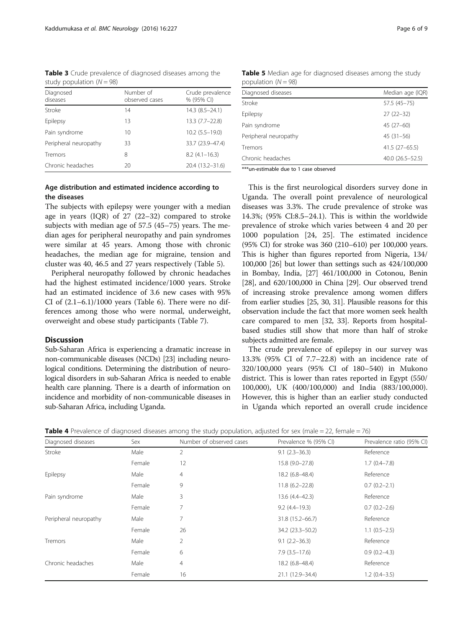<span id="page-5-0"></span>Table 3 Crude prevalence of diagnosed diseases among the study population  $(N = 98)$ 

| Diagnosed<br>diseases | Number of<br>observed cases | Crude prevalence<br>% (95% CI) |
|-----------------------|-----------------------------|--------------------------------|
| Stroke                | 14                          | 14.3 (8.5-24.1)                |
| Epilepsy              | 13                          | 13.3 (7.7-22.8)                |
| Pain syndrome         | 10                          | $10.2(5.5 - 19.0)$             |
| Peripheral neuropathy | 33                          | 33.7 (23.9-47.4)               |
| Tremors               | 8                           | $8.2(4.1 - 16.3)$              |
| Chronic headaches     | 20                          | 20.4 (13.2-31.6)               |

## Age distribution and estimated incidence according to the diseases

The subjects with epilepsy were younger with a median age in years (IQR) of 27 (22–32) compared to stroke subjects with median age of 57.5 (45–75) years. The median ages for peripheral neuropathy and pain syndromes were similar at 45 years. Among those with chronic headaches, the median age for migraine, tension and cluster was 40, 46.5 and 27 years respectively (Table 5).

Peripheral neuropathy followed by chronic headaches had the highest estimated incidence/1000 years. Stroke had an estimated incidence of 3.6 new cases with 95% CI of  $(2.1-6.1)/1000$  years (Table [6\)](#page-6-0). There were no differences among those who were normal, underweight, overweight and obese study participants (Table [7](#page-6-0)).

## Discussion

Sub-Saharan Africa is experiencing a dramatic increase in non-communicable diseases (NCDs) [\[23\]](#page-8-0) including neurological conditions. Determining the distribution of neurological disorders in sub-Saharan Africa is needed to enable health care planning. There is a dearth of information on incidence and morbidity of non-communicable diseases in sub-Saharan Africa, including Uganda.

| Diagnosed diseases    | Median age (IQR) |
|-----------------------|------------------|
| Stroke                | 57.5 (45-75)     |
| Epilepsy              | $27(22-32)$      |
| Pain syndrome         | $45(27-60)$      |
| Peripheral neuropathy | $45(31-56)$      |
| Tremors               | $41.5(27-65.5)$  |
| Chronic headaches     | 40.0 (26.5-52.5) |

Table 5 Median age for diagnosed diseases among the study population  $(N = 98)$ 

\*\*\*un-estimable due to 1 case observed

This is the first neurological disorders survey done in Uganda. The overall point prevalence of neurological diseases was 3.3%. The crude prevalence of stroke was 14.3%; (95% CI:8.5–24.1). This is within the worldwide prevalence of stroke which varies between 4 and 20 per 1000 population [[24, 25](#page-8-0)]. The estimated incidence (95% CI) for stroke was 360 (210–610) per 100,000 years. This is higher than figures reported from Nigeria, 134/ 100,000 [\[26\]](#page-8-0) but lower than settings such as 424/100,000 in Bombay, India, [\[27\]](#page-8-0) 461/100,000 in Cotonou, Benin [[28](#page-8-0)], and 620/100,000 in China [\[29\]](#page-8-0). Our observed trend of increasing stroke prevalence among women differs from earlier studies [[25](#page-8-0), [30](#page-8-0), [31](#page-8-0)]. Plausible reasons for this observation include the fact that more women seek health care compared to men [\[32](#page-8-0), [33](#page-8-0)]. Reports from hospitalbased studies still show that more than half of stroke subjects admitted are female.

The crude prevalence of epilepsy in our survey was 13.3% (95% CI of 7.7–22.8) with an incidence rate of 320/100,000 years (95% CI of 180–540) in Mukono district. This is lower than rates reported in Egypt (550/ 100,000), UK (400/100,000) and India (883/100,000). However, this is higher than an earlier study conducted in Uganda which reported an overall crude incidence

| <b>Table 4</b> Prevalence of diagnosed diseases among the study population, adjusted for sex (male = 22, female = 76) |  |  |  |
|-----------------------------------------------------------------------------------------------------------------------|--|--|--|
|-----------------------------------------------------------------------------------------------------------------------|--|--|--|

| Diagnosed diseases    | Sex    | Number of observed cases | Prevalence % (95% CI) | Prevalence ratio (95% CI) |
|-----------------------|--------|--------------------------|-----------------------|---------------------------|
| Stroke                | Male   | 2                        | $9.1(2.3 - 36.3)$     | Reference                 |
|                       | Female | 12                       | 15.8 (9.0-27.8)       | $1.7(0.4 - 7.8)$          |
| Epilepsy              | Male   | $\overline{4}$           | 18.2 (6.8-48.4)       | Reference                 |
|                       | Female | 9                        | $11.8(6.2 - 22.8)$    | $0.7(0.2 - 2.1)$          |
| Pain syndrome         | Male   | 3                        | 13.6 (4.4-42.3)       | Reference                 |
|                       | Female | 7                        | $9.2(4.4 - 19.3)$     | $0.7(0.2 - 2.6)$          |
| Peripheral neuropathy | Male   | 7                        | 31.8 (15.2-66.7)      | Reference                 |
|                       | Female | 26                       | 34.2 (23.3-50.2)      | $1.1(0.5-2.5)$            |
| Tremors               | Male   | $\overline{2}$           | $9.1(2.2 - 36.3)$     | Reference                 |
|                       | Female | 6                        | $7.9(3.5-17.6)$       | $0.9(0.2-4.3)$            |
| Chronic headaches     | Male   | $\overline{4}$           | 18.2 (6.8-48.4)       | Reference                 |
|                       | Female | 16                       | 21.1 (12.9-34.4)      | $1.2(0.4-3.5)$            |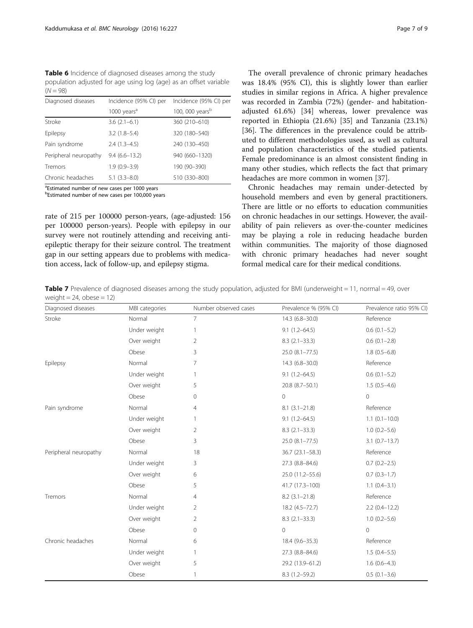<span id="page-6-0"></span>Table 6 Incidence of diagnosed diseases among the study population adjusted for age using log (age) as an offset variable  $(N = 98)$ 

| Diagnosed diseases    | Incidence (95% CI) per  | Incidence (95% CI) per      |  |
|-----------------------|-------------------------|-----------------------------|--|
|                       | 1000 years <sup>a</sup> | 100, 000 years <sup>b</sup> |  |
| Stroke                | $3.6(2.1-6.1)$          | 360 (210-610)               |  |
| Epilepsy              | $3.2(1.8-5.4)$          | 320 (180-540)               |  |
| Pain syndrome         | $2.4(1.3-4.5)$          | 240 (130-450)               |  |
| Peripheral neuropathy | $9.4(6.6 - 13.2)$       | 940 (660-1320)              |  |
| Tremors               | $1.9(0.9 - 3.9)$        | 190 (90-390)                |  |
| Chronic headaches     | $5.1(3.3 - 8.0)$        | 510 (330-800)               |  |

<sup>a</sup>Estimated number of new cases per 1000 years

<sup>b</sup>Estimated number of new cases per 100,000 years

rate of 215 per 100000 person-years, (age-adjusted: 156 per 100000 person-years). People with epilepsy in our survey were not routinely attending and receiving antiepileptic therapy for their seizure control. The treatment gap in our setting appears due to problems with medication access, lack of follow-up, and epilepsy stigma.

The overall prevalence of chronic primary headaches was 18.4% (95% CI), this is slightly lower than earlier studies in similar regions in Africa. A higher prevalence was recorded in Zambia (72%) (gender- and habitationadjusted 61.6%) [\[34](#page-8-0)] whereas, lower prevalence was reported in Ethiopia (21.6%) [\[35](#page-8-0)] and Tanzania (23.1%) [[36\]](#page-8-0). The differences in the prevalence could be attributed to different methodologies used, as well as cultural and population characteristics of the studied patients. Female predominance is an almost consistent finding in many other studies, which reflects the fact that primary headaches are more common in women [\[37](#page-8-0)].

Chronic headaches may remain under-detected by household members and even by general practitioners. There are little or no efforts to education communities on chronic headaches in our settings. However, the availability of pain relievers as over-the-counter medicines may be playing a role in reducing headache burden within communities. The majority of those diagnosed with chronic primary headaches had never sought formal medical care for their medical conditions.

**Table 7** Prevalence of diagnosed diseases among the study population, adjusted for BMI (underweight  $= 11$ , normal  $= 49$ , over weight  $= 24$ , obese  $= 12$ )

| Diagnosed diseases    | MBI categories | Number observed cases | Prevalence % (95% CI) | Prevalence ratio 95% CI) |
|-----------------------|----------------|-----------------------|-----------------------|--------------------------|
| Stroke                | Normal         | $\overline{7}$        | $14.3(6.8 - 30.0)$    | Reference                |
|                       | Under weight   | $\mathbf{1}$          | $9.1(1.2 - 64.5)$     | $0.6(0.1-5.2)$           |
|                       | Over weight    | $\overline{2}$        | $8.3(2.1 - 33.3)$     | $0.6(0.1-2.8)$           |
|                       | Obese          | 3                     | $25.0(8.1 - 77.5)$    | $1.8(0.5-6.8)$           |
| Epilepsy              | Normal         | 7                     | $14.3(6.8 - 30.0)$    | Reference                |
|                       | Under weight   | 1                     | $9.1(1.2 - 64.5)$     | $0.6(0.1-5.2)$           |
|                       | Over weight    | 5                     | 20.8 (8.7-50.1)       | $1.5(0.5-4.6)$           |
|                       | Obese          | $\mathbf 0$           | $\mathbf 0$           | $\mathbf{0}$             |
| Pain syndrome         | Normal         | 4                     | $8.1(3.1 - 21.8)$     | Reference                |
|                       | Under weight   | 1                     | $9.1(1.2 - 64.5)$     | $1.1(0.1 - 10.0)$        |
|                       | Over weight    | $\overline{2}$        | $8.3(2.1 - 33.3)$     | $1.0(0.2 - 5.6)$         |
|                       | Obese          | 3                     | $25.0$ $(8.1 - 77.5)$ | $3.1 (0.7 - 13.7)$       |
| Peripheral neuropathy | Normal         | 18                    | $36.7(23.1 - 58.3)$   | Reference                |
|                       | Under weight   | 3                     | 27.3 (8.8-84.6)       | $0.7(0.2 - 2.5)$         |
|                       | Over weight    | 6                     | 25.0 (11.2-55.6)      | $0.7(0.3-1.7)$           |
|                       | Obese          | 5                     | 41.7 (17.3-100)       | $1.1 (0.4 - 3.1)$        |
| Tremors               | Normal         | 4                     | $8.2(3.1 - 21.8)$     | Reference                |
|                       | Under weight   | $\overline{2}$        | 18.2 (4.5-72.7)       | $2.2(0.4-12.2)$          |
|                       | Over weight    | $\overline{2}$        | $8.3(2.1 - 33.3)$     | $1.0(0.2 - 5.6)$         |
|                       | Obese          | 0                     | $\Omega$              | $\Omega$                 |
| Chronic headaches     | Normal         | 6                     | $18.4(9.6 - 35.3)$    | Reference                |
|                       | Under weight   | 1                     | 27.3 (8.8-84.6)       | $1.5(0.4 - 5.5)$         |
|                       | Over weight    | 5                     | 29.2 (13.9-61.2)      | $1.6(0.6-4.3)$           |
|                       | Obese          | $\mathbf{1}$          | $8.3(1.2 - 59.2)$     | $0.5(0.1-3.6)$           |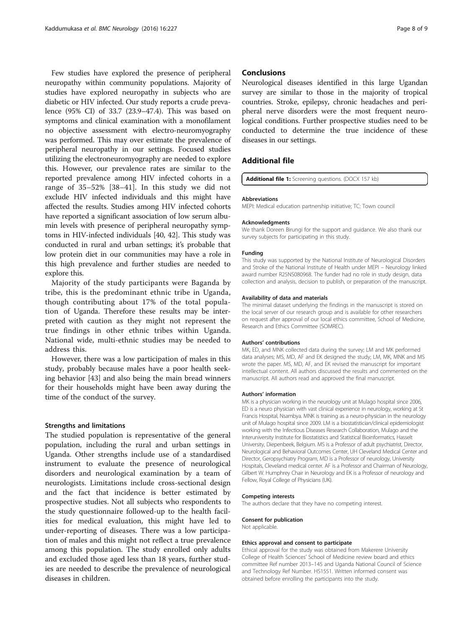<span id="page-7-0"></span>Few studies have explored the presence of peripheral neuropathy within community populations. Majority of studies have explored neuropathy in subjects who are diabetic or HIV infected. Our study reports a crude prevalence (95% CI) of 33.7 (23.9–47.4). This was based on symptoms and clinical examination with a monofilament no objective assessment with electro-neuromyography was performed. This may over estimate the prevalence of peripheral neuropathy in our settings. Focused studies utilizing the electroneuromyography are needed to explore this. However, our prevalence rates are similar to the reported prevalence among HIV infected cohorts in a range of 35–52% [[38](#page-8-0)–[41\]](#page-8-0). In this study we did not exclude HIV infected individuals and this might have affected the results. Studies among HIV infected cohorts have reported a significant association of low serum albumin levels with presence of peripheral neuropathy symptoms in HIV-infected individuals [\[40](#page-8-0), [42](#page-8-0)]. This study was conducted in rural and urban settings; it's probable that low protein diet in our communities may have a role in this high prevalence and further studies are needed to explore this.

Majority of the study participants were Baganda by tribe, this is the predominant ethnic tribe in Uganda, though contributing about 17% of the total population of Uganda. Therefore these results may be interpreted with caution as they might not represent the true findings in other ethnic tribes within Uganda. National wide, multi-ethnic studies may be needed to address this.

However, there was a low participation of males in this study, probably because males have a poor health seeking behavior [[43\]](#page-8-0) and also being the main bread winners for their households might have been away during the time of the conduct of the survey.

#### Strengths and limitations

The studied population is representative of the general population, including the rural and urban settings in Uganda. Other strengths include use of a standardised instrument to evaluate the presence of neurological disorders and neurological examination by a team of neurologists. Limitations include cross-sectional design and the fact that incidence is better estimated by prospective studies. Not all subjects who respondents to the study questionnaire followed-up to the health facilities for medical evaluation, this might have led to under-reporting of diseases. There was a low participation of males and this might not reflect a true prevalence among this population. The study enrolled only adults and excluded those aged less than 18 years, further studies are needed to describe the prevalence of neurological diseases in children.

## **Conclusions**

Neurological diseases identified in this large Ugandan survey are similar to those in the majority of tropical countries. Stroke, epilepsy, chronic headaches and peripheral nerve disorders were the most frequent neurological conditions. Further prospective studies need to be conducted to determine the true incidence of these diseases in our settings.

## Additional file

[Additional file 1:](dx.doi.org/10.1186/s12883-016-0732-y) Screening questions. (DOCX 157 kb)

#### Abbreviations

MEPI: Medical education partnership initiative; TC: Town council

#### Acknowledgments

We thank Doreen Birungi for the support and guidance. We also thank our survey subjects for participating in this study.

#### Funding

This study was supported by the National Institute of Neurological Disorders and Stroke of the National Institute of Health under MEPI – Neurology linked award number R25NS080968. The funder had no role in study design, data collection and analysis, decision to publish, or preparation of the manuscript.

#### Availability of data and materials

The minimal dataset underlying the findings in the manuscript is stored on the local server of our research group and is available for other researchers on request after approval of our local ethics committee, School of Medicine, Research and Ethics Committee (SOMREC).

#### Authors' contributions

MK, ED, and MNK collected data during the survey; LM and MK performed data analyses; MS, MD, AF and EK designed the study; LM, MK, MNK and MS wrote the paper. MS, MD, AF, and EK revised the manuscript for important intellectual content. All authors discussed the results and commented on the manuscript. All authors read and approved the final manuscript.

#### Authors' information

MK is a physician working in the neurology unit at Mulago hospital since 2006, ED is a neuro physician with vast clinical experience in neurology, working at St Francis Hospital, Nsambya. MNK is training as a neuro-physician in the neurology unit of Mulago hospital since 2009. LM is a biostatistician/clinical epidemiologist working with the Infectious Diseases Research Collaboration, Mulago and the Interuniversity Institute for Biostatistics and Statistical Bioinformatics, Hasselt University, Diepenbeek, Belgium. MS is a Professor of adult psychiatrist, Director, Neurological and Behavioral Outcomes Center, UH Cleveland Medical Center and Director, Geropsychiatry Program, MD is a Professor of neurology, University Hospitals, Cleveland medical center. AF is a Professor and Chairman of Neurology, Gilbert W. Humphrey Chair in Neurology and EK is a Professor of neurology and Fellow, Royal College of Physicians (UK).

#### Competing interests

The authors declare that they have no competing interest.

#### Consent for publication

Not applicable.

#### Ethics approval and consent to participate

Ethical approval for the study was obtained from Makerere University College of Health Sciences' School of Medicine review board and ethics committee Ref number 2013–145 and Uganda National Council of Science and Technology Ref Number. HS1551. Written informed consent was obtained before enrolling the participants into the study.